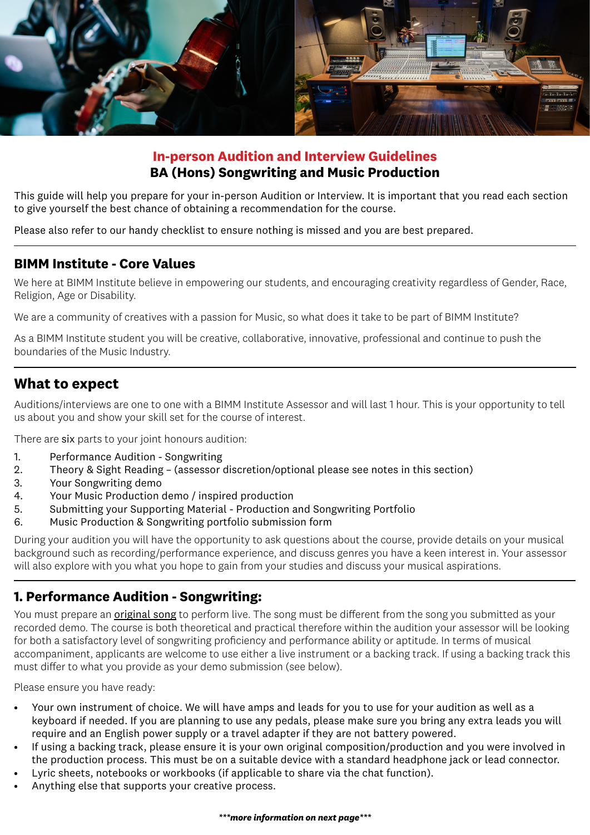

## **In-person Audition and Interview Guidelines BA (Hons) Songwriting and Music Production**

This guide will help you prepare for your in-person Audition or Interview. It is important that you read each section to give yourself the best chance of obtaining a recommendation for the course.

Please also refer to our handy checklist to ensure nothing is missed and you are best prepared.

#### **BIMM Institute - Core Values**

We here at BIMM Institute believe in empowering our students, and encouraging creativity regardless of Gender, Race, Religion, Age or Disability.

We are a community of creatives with a passion for Music, so what does it take to be part of BIMM Institute?

As a BIMM Institute student you will be creative, collaborative, innovative, professional and continue to push the boundaries of the Music Industry.

## **What to expect**

Auditions/interviews are one to one with a BIMM Institute Assessor and will last 1 hour. This is your opportunity to tell us about you and show your skill set for the course of interest.

There are six parts to your joint honours audition:

- 1. Performance Audition Songwriting
- 2. Theory & Sight Reading (assessor discretion/optional please see notes in this section)
- 3. Your Songwriting demo
- 4. Your Music Production demo / inspired production
- 5. Submitting your Supporting Material Production and Songwriting Portfolio
- 6. Music Production & Songwriting portfolio submission form

During your audition you will have the opportunity to ask questions about the course, provide details on your musical background such as recording/performance experience, and discuss genres you have a keen interest in. Your assessor will also explore with you what you hope to gain from your studies and discuss your musical aspirations.

## **1. Performance Audition - Songwriting:**

You must prepare an **original song** to perform live. The song must be different from the song you submitted as your recorded demo. The course is both theoretical and practical therefore within the audition your assessor will be looking for both a satisfactory level of songwriting proficiency and performance ability or aptitude. In terms of musical accompaniment, applicants are welcome to use either a live instrument or a backing track. If using a backing track this must differ to what you provide as your demo submission (see below).

Please ensure you have ready:

- Your own instrument of choice. We will have amps and leads for you to use for your audition as well as a keyboard if needed. If you are planning to use any pedals, please make sure you bring any extra leads you will require and an English power supply or a travel adapter if they are not battery powered.
- If using a backing track, please ensure it is your own original composition/production and you were involved in the production process. This must be on a suitable device with a standard headphone jack or lead connector.
- Lyric sheets, notebooks or workbooks (if applicable to share via the chat function).
- Anything else that supports your creative process.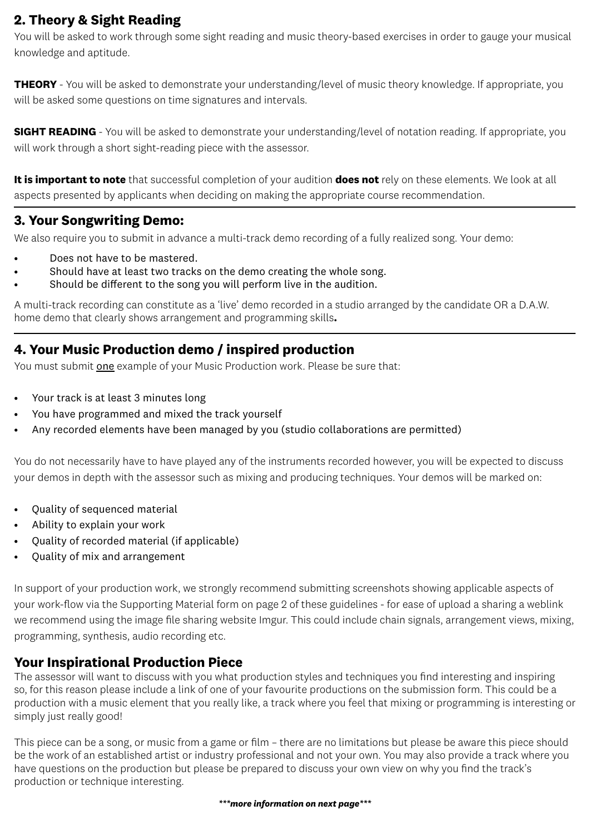# **2. Theory & Sight Reading**

You will be asked to work through some sight reading and music theory-based exercises in order to gauge your musical knowledge and aptitude.

**THEORY** - You will be asked to demonstrate your understanding/level of music theory knowledge. If appropriate, you will be asked some questions on time signatures and intervals.

**SIGHT READING** - You will be asked to demonstrate your understanding/level of notation reading. If appropriate, you will work through a short sight-reading piece with the assessor.

**It is important to note** that successful completion of your audition **does not** rely on these elements. We look at all aspects presented by applicants when deciding on making the appropriate course recommendation.

## **3. Your Songwriting Demo:**

We also require you to submit in advance a multi-track demo recording of a fully realized song. Your demo:

- Does not have to be mastered.
- Should have at least two tracks on the demo creating the whole song.
- Should be different to the song you will perform live in the audition.

A multi-track recording can constitute as a 'live' demo recorded in a studio arranged by the candidate OR a D.A.W. home demo that clearly shows arrangement and programming skills**.**

## **4. Your Music Production demo / inspired production**

You must submit one example of your Music Production work. Please be sure that:

- Your track is at least 3 minutes long
- You have programmed and mixed the track yourself
- Any recorded elements have been managed by you (studio collaborations are permitted)

You do not necessarily have to have played any of the instruments recorded however, you will be expected to discuss your demos in depth with the assessor such as mixing and producing techniques. Your demos will be marked on:

- Quality of sequenced material
- Ability to explain your work
- Quality of recorded material (if applicable)
- Quality of mix and arrangement

In support of your production work, we strongly recommend submitting screenshots showing applicable aspects of your work-flow via the Supporting Material form on page 2 of these guidelines - for ease of upload a sharing a weblink we recommend using the image file sharing website Imgur. This could include chain signals, arrangement views, mixing, programming, synthesis, audio recording etc.

#### **Your Inspirational Production Piece**

The assessor will want to discuss with you what production styles and techniques you find interesting and inspiring so, for this reason please include a link of one of your favourite productions on the submission form. This could be a production with a music element that you really like, a track where you feel that mixing or programming is interesting or simply just really good!

This piece can be a song, or music from a game or film – there are no limitations but please be aware this piece should be the work of an established artist or industry professional and not your own. You may also provide a track where you have questions on the production but please be prepared to discuss your own view on why you find the track's production or technique interesting.